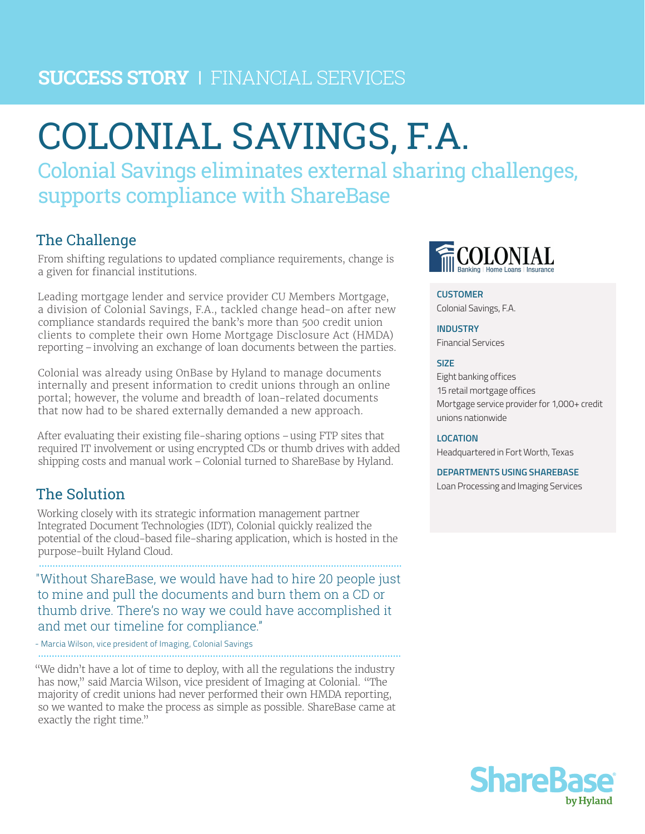# **SUCCESS STORY** I FINANCIAL SERVICES

# COLONIAL SAVINGS, F.A.

Colonial Savings eliminates external sharing challenges, supports compliance with ShareBase

# The Challenge

From shifting regulations to updated compliance requirements, change is a given for financial institutions.

Leading mortgage lender and service provider CU Members Mortgage, a division of Colonial Savings, F.A., tackled change head-on after new compliance standards required the bank's more than 500 credit union clients to complete their own Home Mortgage Disclosure Act (HMDA) reporting –involving an exchange of loan documents between the parties.

Colonial was already using OnBase by Hyland to manage documents internally and present information to credit unions through an online portal; however, the volume and breadth of loan-related documents that now had to be shared externally demanded a new approach.

After evaluating their existing file-sharing options –using FTP sites that required IT involvement or using encrypted CDs or thumb drives with added shipping costs and manual work –Colonial turned to ShareBase by Hyland.

# The Solution

. . . . . . . . . . . . . . . .

Working closely with its strategic information management partner Integrated Document Technologies (IDT), Colonial quickly realized the potential of the cloud-based file-sharing application, which is hosted in the purpose-built Hyland Cloud.

"Without ShareBase, we would have had to hire 20 people just to mine and pull the documents and burn them on a CD or thumb drive. There's no way we could have accomplished it and met our timeline for compliance."

- Marcia Wilson, vice president of Imaging, Colonial Savings

"We didn't have a lot of time to deploy, with all the regulations the industry has now," said Marcia Wilson, vice president of Imaging at Colonial. "The majority of credit unions had never performed their own HMDA reporting, so we wanted to make the process as simple as possible. ShareBase came at exactly the right time."



## **CUSTOMER**

Colonial Savings, F.A.

#### **INDUSTRY**

Financial Services

#### **SIZE**

Eight banking offices 15 retail mortgage offices Mortgage service provider for 1,000+ credit unions nationwide

#### **LOCATION**

Headquartered in Fort Worth, Texas

#### **DEPARTMENTS USING SHAREBASE**

Loan Processing and Imaging Services

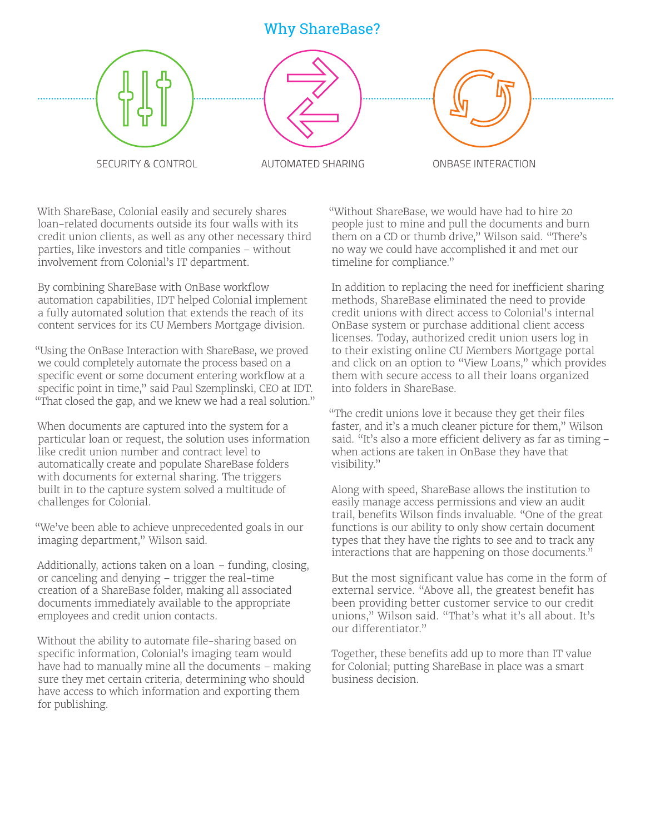# Why ShareBase?





SECURITY & CONTROL AUTOMATED SHARING ONBASE INTERACTION

With ShareBase, Colonial easily and securely shares loan-related documents outside its four walls with its credit union clients, as well as any other necessary third parties, like investors and title companies – without involvement from Colonial's IT department.

By combining ShareBase with OnBase workflow automation capabilities, IDT helped Colonial implement a fully automated solution that extends the reach of its content services for its CU Members Mortgage division.

"Using the OnBase Interaction with ShareBase, we proved we could completely automate the process based on a specific event or some document entering workflow at a specific point in time," said Paul Szemplinski, CEO at IDT. "That closed the gap, and we knew we had a real solution."

When documents are captured into the system for a particular loan or request, the solution uses information like credit union number and contract level to automatically create and populate ShareBase folders with documents for external sharing. The triggers built in to the capture system solved a multitude of challenges for Colonial.

"We've been able to achieve unprecedented goals in our imaging department," Wilson said.

Additionally, actions taken on a loan – funding, closing, or canceling and denying – trigger the real-time creation of a ShareBase folder, making all associated documents immediately available to the appropriate employees and credit union contacts.

Without the ability to automate file-sharing based on specific information, Colonial's imaging team would have had to manually mine all the documents – making sure they met certain criteria, determining who should have access to which information and exporting them for publishing.

"Without ShareBase, we would have had to hire 20 people just to mine and pull the documents and burn them on a CD or thumb drive," Wilson said. "There's no way we could have accomplished it and met our timeline for compliance."

In addition to replacing the need for inefficient sharing methods, ShareBase eliminated the need to provide credit unions with direct access to Colonial's internal OnBase system or purchase additional client access licenses. Today, authorized credit union users log in to their existing online CU Members Mortgage portal and click on an option to "View Loans," which provides them with secure access to all their loans organized into folders in ShareBase.

"The credit unions love it because they get their files faster, and it's a much cleaner picture for them," Wilson said. "It's also a more efficient delivery as far as timing – when actions are taken in OnBase they have that visibility."

Along with speed, ShareBase allows the institution to easily manage access permissions and view an audit trail, benefits Wilson finds invaluable. "One of the great functions is our ability to only show certain document types that they have the rights to see and to track any interactions that are happening on those documents."

But the most significant value has come in the form of external service. "Above all, the greatest benefit has been providing better customer service to our credit unions," Wilson said. "That's what it's all about. It's our differentiator."

Together, these benefits add up to more than IT value for Colonial; putting ShareBase in place was a smart business decision.